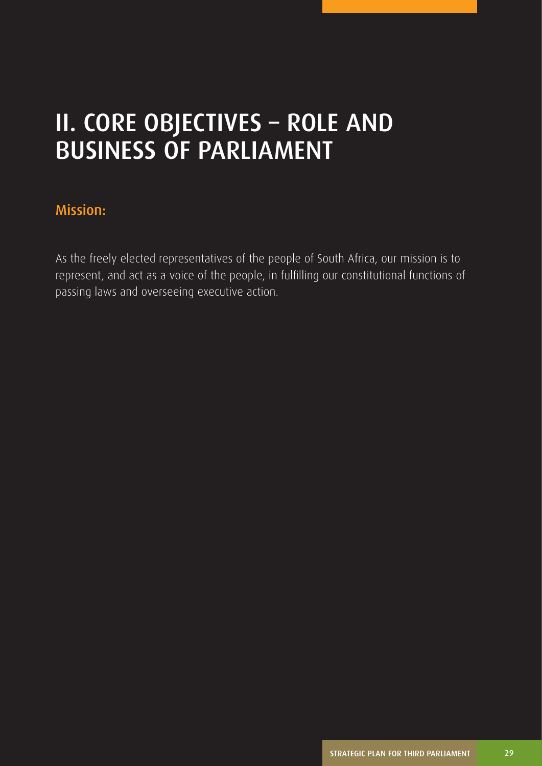# II. CORE OBJECTIVES – ROLE AND BUSINESS OF PARLIAMENT

# Mission:

As the freely elected representatives of the people of South Africa, our mission is to represent, and act as a voice of the people, in fulfilling our constitutional functions of passing laws and overseeing executive action.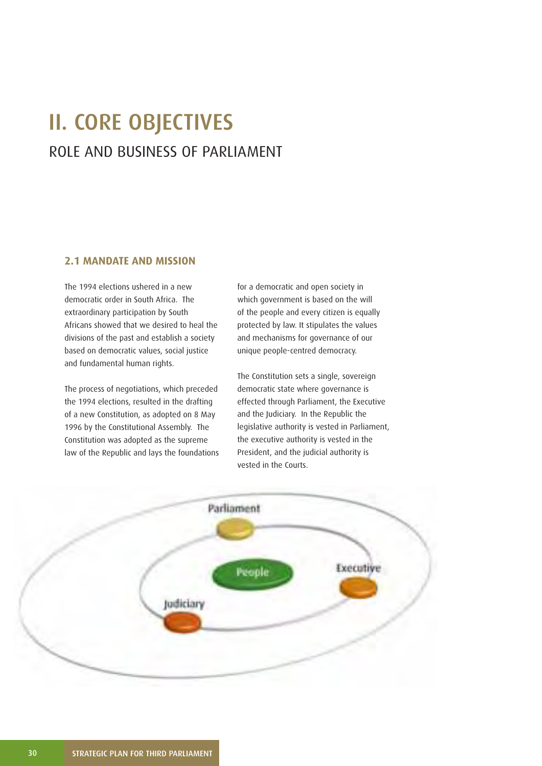# II. CORE OBJECTIVES ROLE AND BUSINESS OF PARLIAMENT

#### **2.1 MANDATE AND MISSION**

The 1994 elections ushered in a new democratic order in South Africa. The extraordinary participation by South Africans showed that we desired to heal the divisions of the past and establish a society based on democratic values, social justice and fundamental human rights.

The process of negotiations, which preceded the 1994 elections, resulted in the drafting of a new Constitution, as adopted on 8 May 1996 by the Constitutional Assembly. The Constitution was adopted as the supreme law of the Republic and lays the foundations for a democratic and open society in which government is based on the will of the people and every citizen is equally protected by law. It stipulates the values and mechanisms for governance of our unique people-centred democracy.

The Constitution sets a single, sovereign democratic state where governance is effected through Parliament, the Executive and the Judiciary. In the Republic the legislative authority is vested in Parliament, the executive authority is vested in the President, and the judicial authority is vested in the Courts.

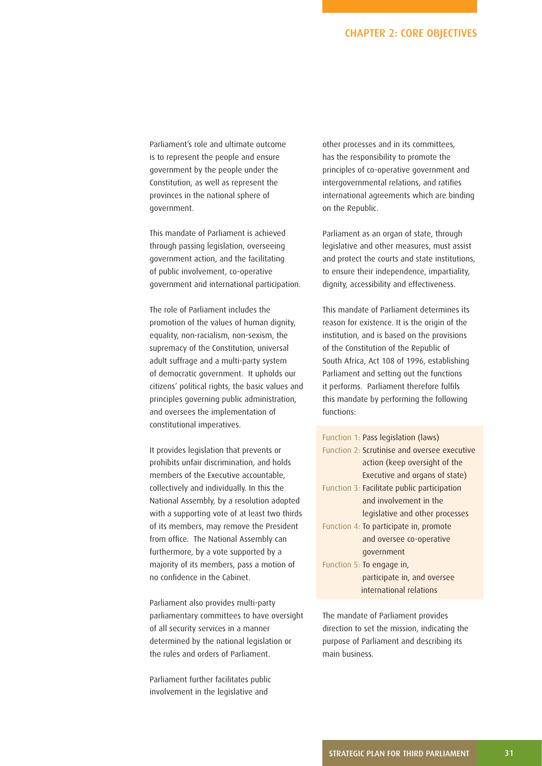#### CHAPTER 2: CORE OBJECTIVES

Parliament's role and ultimate outcome is to represent the people and ensure government by the people under the Constitution, as well as represent the provinces in the national sphere of government.

This mandate of Parliament is achieved through passing legislation, overseeing government action, and the facilitating of public involvement, co-operative government and international participation.

The role of Parliament includes the promotion of the values of human dignity, equality, non-racialism, non-sexism, the supremacy of the Constitution, universal adult suffrage and a multi-party system of democratic government. It upholds our citizens' political rights, the basic values and principles governing public administration, and oversees the implementation of constitutional imperatives.

It provides legislation that prevents or prohibits unfair discrimination, and holds members of the Executive accountable, collectively and individually. In this the National Assembly, by a resolution adopted with a supporting vote of at least two thirds of its members, may remove the President from office. The National Assembly can furthermore, by a vote supported by a majority of its members, pass a motion of no confidence in the Cabinet.

Parliament also provides multi-party parliamentary committees to have oversight of all security services in a manner determined by the national legislation or the rules and orders of Parliament.

Parliament further facilitates public involvement in the legislative and

other processes and in its committees, has the responsibility to promote the principles of co-operative government and intergovernmental relations, and ratifies international agreements which are binding on the Republic.

Parliament as an organ of state, through legislative and other measures, must assist and protect the courts and state institutions, to ensure their independence, impartiality, dignity, accessibility and effectiveness.

This mandate of Parliament determines its reason for existence. It is the origin of the institution, and is based on the provisions of the Constitution of the Republic of South Africa, Act 108 of 1996, establishing Parliament and setting out the functions it performs. Parliament therefore fulfils this mandate by performing the following functions:

Function 1: Pass legislation (laws)

- Function 2: Scrutinise and oversee executive action (keep oversight of the Executive and organs of state)
- Function 3: Facilitate public participation and involvement in the legislative and other processes
- Function 4: To participate in, promote and oversee co-operative government
- Function 5: To engage in, participate in, and oversee international relations

The mandate of Parliament provides direction to set the mission, indicating the purpose of Parliament and describing its main business.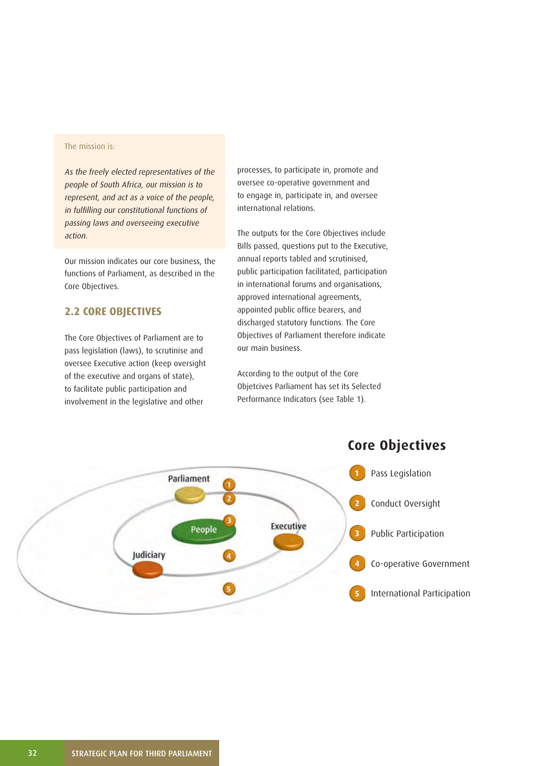#### The mission is:

As the freely elected representatives of the people of South Africa, our mission is to represent, and act as a voice of the people, in fulfilling our constitutional functions of passing laws and overseeing executive action.

Our mission indicates our core business, the functions of Parliament, as described in the Core Objectives.

#### **2.2 CORE OBJECTIVES**

The Core Objectives of Parliament are to pass legislation (laws), to scrutinise and oversee Executive action (keep oversight of the executive and organs of state), to facilitate public participation and involvement in the legislative and other

processes, to participate in, promote and oversee co-operative government and to engage in, participate in, and oversee international relations.

The outputs for the Core Objectives include Bills passed, questions put to the Executive, annual reports tabled and scrutinised, public participation facilitated, participation in international forums and organisations, approved international agreements, appointed public office bearers, and discharged statutory functions. The Core Objectives of Parliament therefore indicate our main business.

According to the output of the Core Objetcives Parliament has set its Selected Performance Indicators (see Table 1).

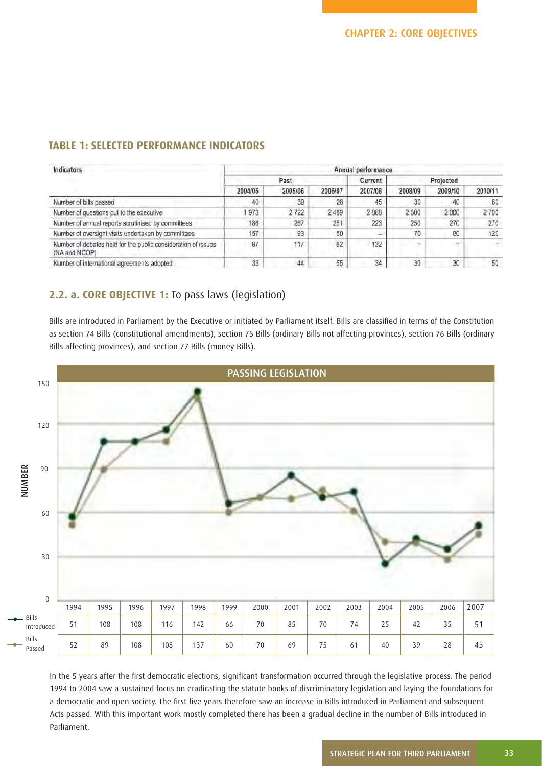## **TABLE 1: SELECTED PERFORMANCE INDICATORS**

| Indicators                                                                     | Annual performance |         |         |           |         |         |         |
|--------------------------------------------------------------------------------|--------------------|---------|---------|-----------|---------|---------|---------|
|                                                                                | Past               |         | Current | Projected |         |         |         |
|                                                                                | 2004/05            | 2005/06 | 2006/07 | 2007/08   | 2008/09 | 2009/10 | 2010/11 |
| Number of bills passed                                                         | 40                 | 39      | 28      | 45        | 30      | 40      | 60      |
| Number of questions put to the executive                                       | 973                | 2722    | 2489    | 2868      | 2500    | 2000    | 2700    |
| Number of annual reports scrutinised by committees                             | 186                | 267     | 251     | 223       | 250     | 270     | 270     |
| Number of oversight visits undertaken by committees                            | 157                | 93      | 50      | -         | 70      | 80      | 120     |
| Number of debates held for the public consideration of issues<br>(NA and NCOP) | 87                 | 117     | 62      | 132       |         |         |         |
| Number of international agreements adopted                                     | 33                 | 44      | 55      | 34        | 30      | 30      | 50      |

# **2.2. a. CORE OBJECTIVE 1:** To pass laws (legislation)

Bills are introduced in Parliament by the Executive or initiated by Parliament itself. Bills are classified in terms of the Constitution as section 74 Bills (constitutional amendments), section 75 Bills (ordinary Bills not affecting provinces), section 76 Bills (ordinary Bills affecting provinces), and section 77 Bills (money Bills).



In the 5 years after the first democratic elections, significant transformation occurred through the legislative process. The period 1994 to 2004 saw a sustained focus on eradicating the statute books of discriminatory legislation and laying the foundations for a democratic and open society. The first five years therefore saw an increase in Bills introduced in Parliament and subsequent Acts passed. With this important work mostly completed there has been a gradual decline in the number of Bills introduced in Parliament.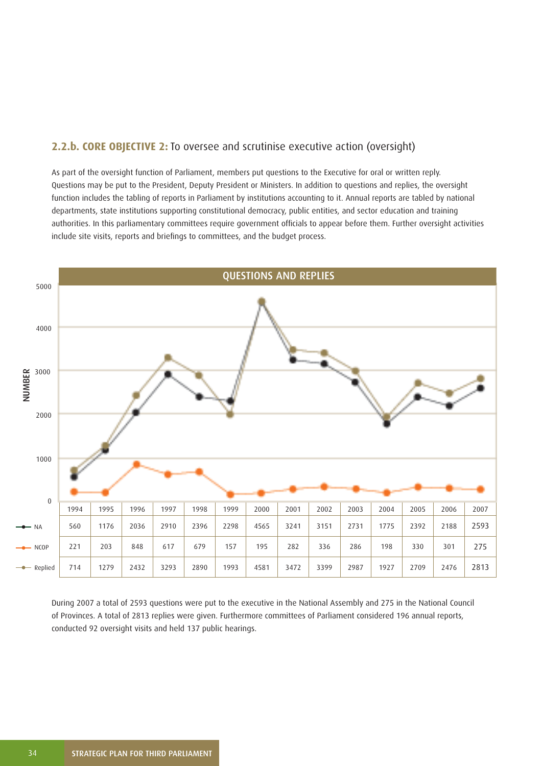## **2.2.b. CORE OBJECTIVE 2:** To oversee and scrutinise executive action (oversight)

As part of the oversight function of Parliament, members put questions to the Executive for oral or written reply. Questions may be put to the President, Deputy President or Ministers. In addition to questions and replies, the oversight function includes the tabling of reports in Parliament by institutions accounting to it. Annual reports are tabled by national departments, state institutions supporting constitutional democracy, public entities, and sector education and training authorities. In this parliamentary committees require government officials to appear before them. Further oversight activities include site visits, reports and briefings to committees, and the budget process.



During 2007 a total of 2593 questions were put to the executive in the National Assembly and 275 in the National Council of Provinces. A total of 2813 replies were given. Furthermore committees of Parliament considered 196 annual reports, conducted 92 oversight visits and held 137 public hearings.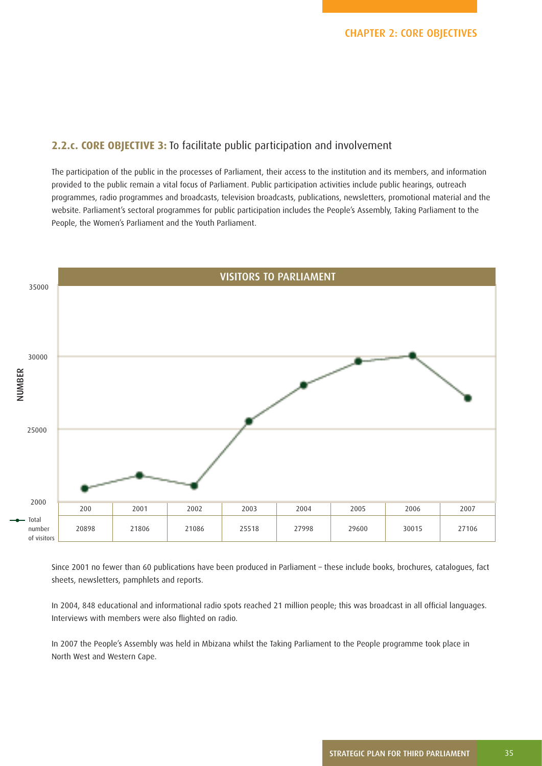## **2.2.c. CORE OBJECTIVE 3:** To facilitate public participation and involvement

The participation of the public in the processes of Parliament, their access to the institution and its members, and information provided to the public remain a vital focus of Parliament. Public participation activities include public hearings, outreach programmes, radio programmes and broadcasts, television broadcasts, publications, newsletters, promotional material and the website. Parliament's sectoral programmes for public participation includes the People's Assembly, Taking Parliament to the People, the Women's Parliament and the Youth Parliament.



Since 2001 no fewer than 60 publications have been produced in Parliament – these include books, brochures, catalogues, fact sheets, newsletters, pamphlets and reports.

In 2004, 848 educational and informational radio spots reached 21 million people; this was broadcast in all official languages. Interviews with members were also flighted on radio.

In 2007 the People's Assembly was held in Mbizana whilst the Taking Parliament to the People programme took place in North West and Western Cape.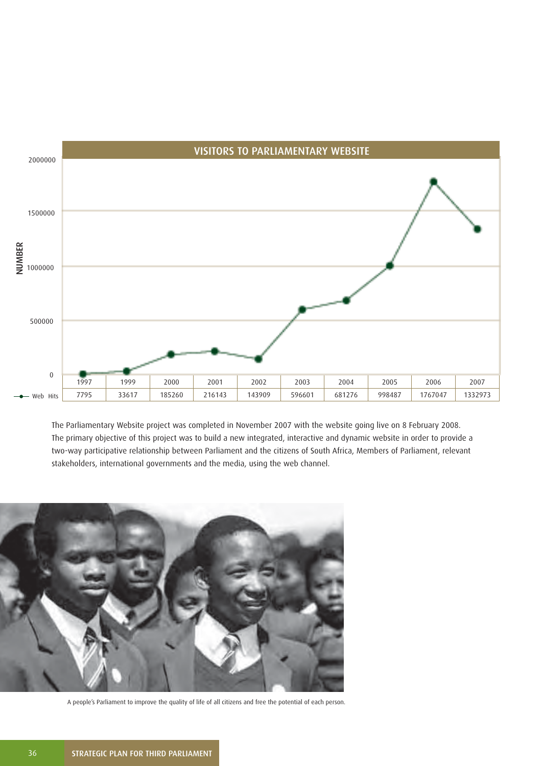

The Parliamentary Website project was completed in November 2007 with the website going live on 8 February 2008. The primary objective of this project was to build a new integrated, interactive and dynamic website in order to provide a two-way participative relationship between Parliament and the citizens of South Africa, Members of Parliament, relevant stakeholders, international governments and the media, using the web channel.



A people's Parliament to improve the quality of life of all citizens and free the potential of each person.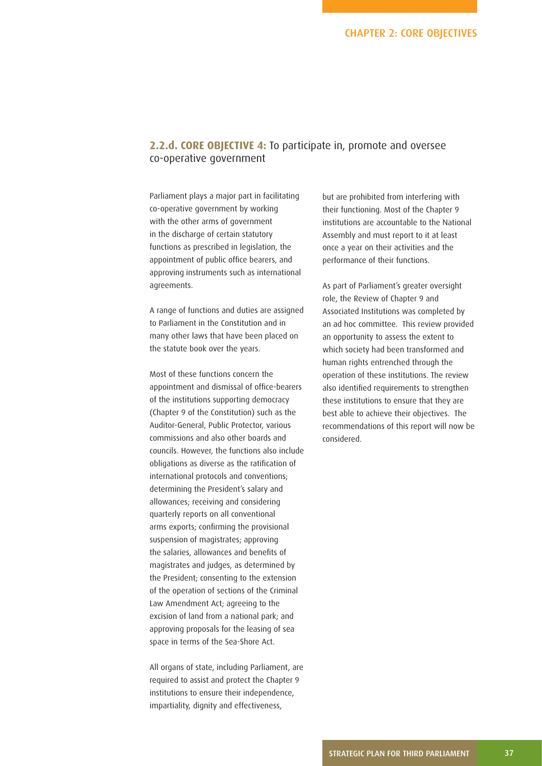# **2.2.d. CORE OBJECTIVE 4:** To participate in, promote and oversee co-operative government

Parliament plays a major part in facilitating co-operative government by working with the other arms of government in the discharge of certain statutory functions as prescribed in legislation, the appointment of public office bearers, and approving instruments such as international agreements.

A range of functions and duties are assigned to Parliament in the Constitution and in many other laws that have been placed on the statute book over the years.

Most of these functions concern the appointment and dismissal of office-bearers of the institutions supporting democracy (Chapter 9 of the Constitution) such as the Auditor-General, Public Protector, various commissions and also other boards and councils. However, the functions also include obligations as diverse as the ratification of international protocols and conventions; determining the President's salary and allowances; receiving and considering quarterly reports on all conventional arms exports; confirming the provisional suspension of magistrates; approving the salaries, allowances and benefits of magistrates and judges, as determined by the President; consenting to the extension of the operation of sections of the Criminal Law Amendment Act; agreeing to the excision of land from a national park; and approving proposals for the leasing of sea space in terms of the Sea-Shore Act.

All organs of state, including Parliament, are required to assist and protect the Chapter 9 institutions to ensure their independence, impartiality, dignity and effectiveness,

but are prohibited from interfering with their functioning. Most of the Chapter 9 institutions are accountable to the National Assembly and must report to it at least once a year on their activities and the performance of their functions.

As part of Parliament's greater oversight role, the Review of Chapter 9 and Associated Institutions was completed by an ad hoc committee. This review provided an opportunity to assess the extent to which society had been transformed and human rights entrenched through the operation of these institutions. The review also identified requirements to strengthen these institutions to ensure that they are best able to achieve their objectives. The recommendations of this report will now be considered.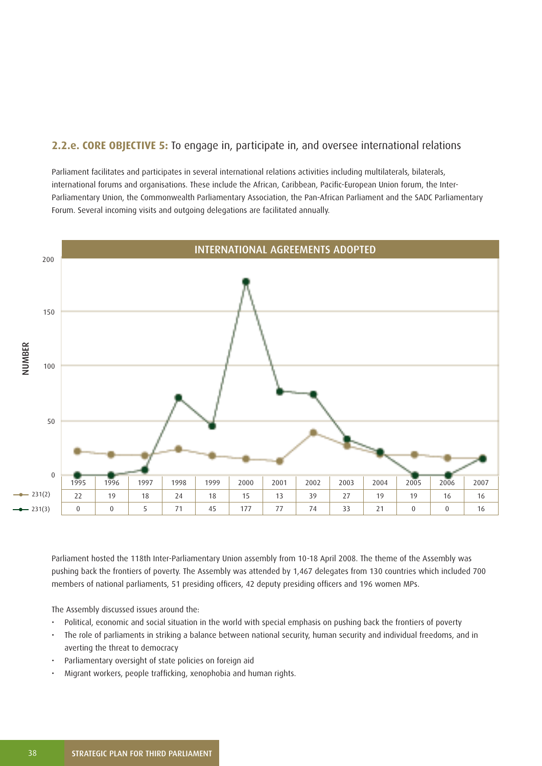# **2.2.e. CORE OBJECTIVE 5:** To engage in, participate in, and oversee international relations

Parliament facilitates and participates in several international relations activities including multilaterals, bilaterals, international forums and organisations. These include the African, Caribbean, Pacific-European Union forum, the Inter-Parliamentary Union, the Commonwealth Parliamentary Association, the Pan-African Parliament and the SADC Parliamentary Forum. Several incoming visits and outgoing delegations are facilitated annually.



Parliament hosted the 118th Inter-Parliamentary Union assembly from 10-18 April 2008. The theme of the Assembly was pushing back the frontiers of poverty. The Assembly was attended by 1,467 delegates from 130 countries which included 700 members of national parliaments, 51 presiding officers, 42 deputy presiding officers and 196 women MPs.

The Assembly discussed issues around the:

- Political, economic and social situation in the world with special emphasis on pushing back the frontiers of poverty
- The role of parliaments in striking a balance between national security, human security and individual freedoms, and in averting the threat to democracy
- Parliamentary oversight of state policies on foreign aid
- Migrant workers, people trafficking, xenophobia and human rights.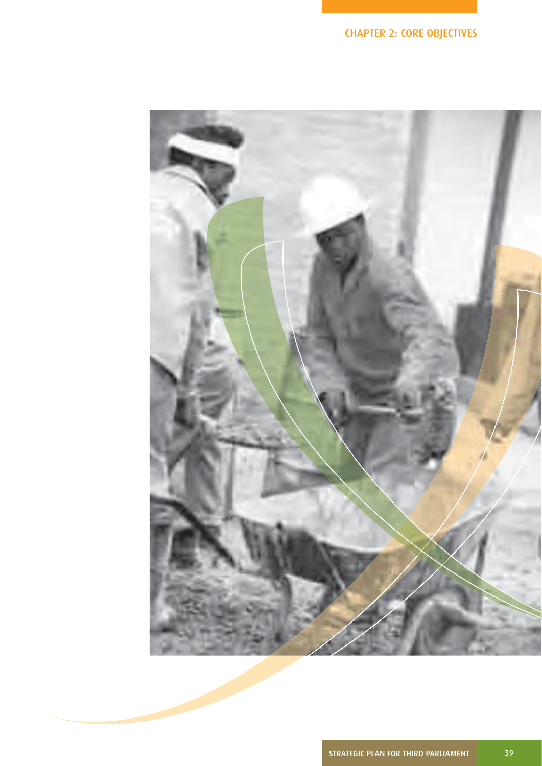# CHAPTER 2: CORE OBJECTIVES

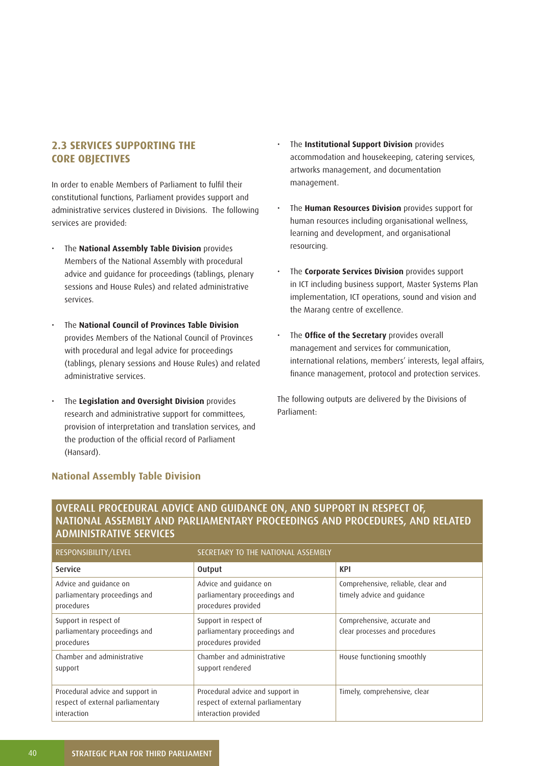#### **2.3 SERVICES SUPPORTING THE CORE OBJECTIVES**

In order to enable Members of Parliament to fulfil their constitutional functions, Parliament provides support and administrative services clustered in Divisions. The following services are provided:

- The **National Assembly Table Division** provides Members of the National Assembly with procedural advice and guidance for proceedings (tablings, plenary sessions and House Rules) and related administrative services.
- The **National Council of Provinces Table Division** provides Members of the National Council of Provinces with procedural and legal advice for proceedings (tablings, plenary sessions and House Rules) and related administrative services.
- The **Legislation and Oversight Division** provides research and administrative support for committees, provision of interpretation and translation services, and the production of the official record of Parliament (Hansard).
- The **Institutional Support Division** provides accommodation and housekeeping, catering services, artworks management, and documentation management.
- The **Human Resources Division** provides support for human resources including organisational wellness, learning and development, and organisational resourcing.
- The **Corporate Services Division** provides support in ICT including business support, Master Systems Plan implementation, ICT operations, sound and vision and the Marang centre of excellence.
- The **Office of the Secretary** provides overall management and services for communication, international relations, members' interests, legal affairs, finance management, protocol and protection services.

The following outputs are delivered by the Divisions of Parliament:

#### **National Assembly Table Division**

# OVERALL PROCEDURAL ADVICE AND GUIDANCE ON, AND SUPPORT IN RESPECT OF, NATIONAL ASSEMBLY AND PARLIAMENTARY PROCEEDINGS AND PROCEDURES, AND RELATED ADMINISTRATIVE SERVICES

| RESPONSIBILITY/LEVEL                                                                 | SECRETARY TO THE NATIONAL ASSEMBLY                                                            |                                                                  |  |
|--------------------------------------------------------------------------------------|-----------------------------------------------------------------------------------------------|------------------------------------------------------------------|--|
| Service                                                                              | Output                                                                                        | <b>KPI</b>                                                       |  |
| Advice and guidance on<br>parliamentary proceedings and<br>procedures                | Advice and guidance on<br>parliamentary proceedings and<br>procedures provided                | Comprehensive, reliable, clear and<br>timely advice and quidance |  |
| Support in respect of<br>parliamentary proceedings and<br>procedures                 | Support in respect of<br>parliamentary proceedings and<br>procedures provided                 | Comprehensive, accurate and<br>clear processes and procedures    |  |
| Chamber and administrative<br>support                                                | Chamber and administrative<br>support rendered                                                | House functioning smoothly                                       |  |
| Procedural advice and support in<br>respect of external parliamentary<br>interaction | Procedural advice and support in<br>respect of external parliamentary<br>interaction provided | Timely, comprehensive, clear                                     |  |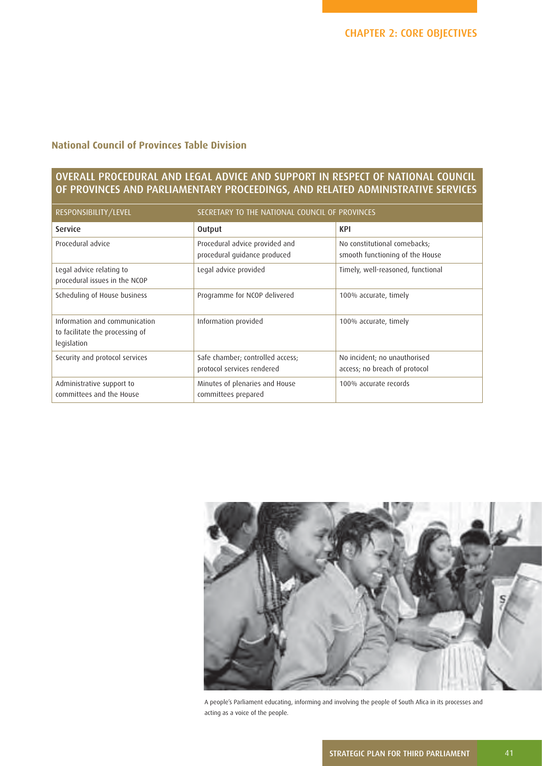# **National Council of Provinces Table Division**

# OVERALL PROCEDURAL AND LEGAL ADVICE AND SUPPORT IN RESPECT OF NATIONAL COUNCIL OF PROVINCES AND PARLIAMENTARY PROCEEDINGS, AND RELATED ADMINISTRATIVE SERVICES

| RESPONSIBILITY/LEVEL                                                            | SECRETARY TO THE NATIONAL COUNCIL OF PROVINCES                 |                                                                 |  |
|---------------------------------------------------------------------------------|----------------------------------------------------------------|-----------------------------------------------------------------|--|
| Service                                                                         | <b>Output</b>                                                  | <b>KPI</b>                                                      |  |
| Procedural advice                                                               | Procedural advice provided and<br>procedural guidance produced | No constitutional comebacks;<br>smooth functioning of the House |  |
| Legal advice relating to<br>procedural issues in the NCOP                       | Legal advice provided                                          | Timely, well-reasoned, functional                               |  |
| Scheduling of House business                                                    | Programme for NCOP delivered                                   | 100% accurate, timely                                           |  |
| Information and communication<br>to facilitate the processing of<br>legislation | Information provided                                           | 100% accurate, timely                                           |  |
| Security and protocol services                                                  | Safe chamber; controlled access;<br>protocol services rendered | No incident; no unauthorised<br>access; no breach of protocol   |  |
| Administrative support to<br>committees and the House                           | Minutes of plenaries and House<br>committees prepared          | 100% accurate records                                           |  |



A people's Parliament educating, informing and involving the people of South Afica in its processes and acting as a voice of the people.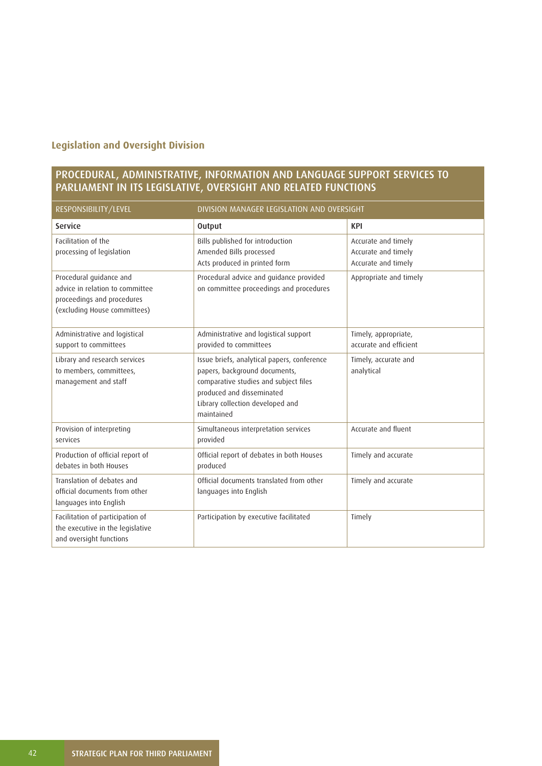# **Legislation and Oversight Division**

## PROCEDURAL, ADMINISTRATIVE, INFORMATION AND LANGUAGE SUPPORT SERVICES TO PARLIAMENT IN ITS LEGISLATIVE, OVERSIGHT AND RELATED FUNCTIONS

| RESPONSIBILITY/LEVEL                                                                                                     | DIVISION MANAGER LEGISLATION AND OVERSIGHT                                                                                                                                                           |                                                                   |  |
|--------------------------------------------------------------------------------------------------------------------------|------------------------------------------------------------------------------------------------------------------------------------------------------------------------------------------------------|-------------------------------------------------------------------|--|
| Service                                                                                                                  | <b>Output</b>                                                                                                                                                                                        | <b>KPI</b>                                                        |  |
| Facilitation of the<br>processing of legislation                                                                         | Bills published for introduction<br>Amended Bills processed<br>Acts produced in printed form                                                                                                         | Accurate and timely<br>Accurate and timely<br>Accurate and timely |  |
| Procedural guidance and<br>advice in relation to committee<br>proceedings and procedures<br>(excluding House committees) | Procedural advice and guidance provided<br>on committee proceedings and procedures                                                                                                                   | Appropriate and timely                                            |  |
| Administrative and logistical<br>support to committees                                                                   | Administrative and logistical support<br>provided to committees                                                                                                                                      | Timely, appropriate,<br>accurate and efficient                    |  |
| Library and research services<br>to members, committees,<br>management and staff                                         | Issue briefs, analytical papers, conference<br>papers, background documents,<br>comparative studies and subject files<br>produced and disseminated<br>Library collection developed and<br>maintained | Timely, accurate and<br>analytical                                |  |
| Provision of interpreting<br>services                                                                                    | Simultaneous interpretation services<br>provided                                                                                                                                                     | Accurate and fluent                                               |  |
| Production of official report of<br>debates in both Houses                                                               | Official report of debates in both Houses<br>produced                                                                                                                                                | Timely and accurate                                               |  |
| Translation of debates and<br>official documents from other<br>languages into English                                    | Official documents translated from other<br>languages into English                                                                                                                                   | Timely and accurate                                               |  |
| Facilitation of participation of<br>the executive in the legislative<br>and oversight functions                          | Participation by executive facilitated                                                                                                                                                               | Timely                                                            |  |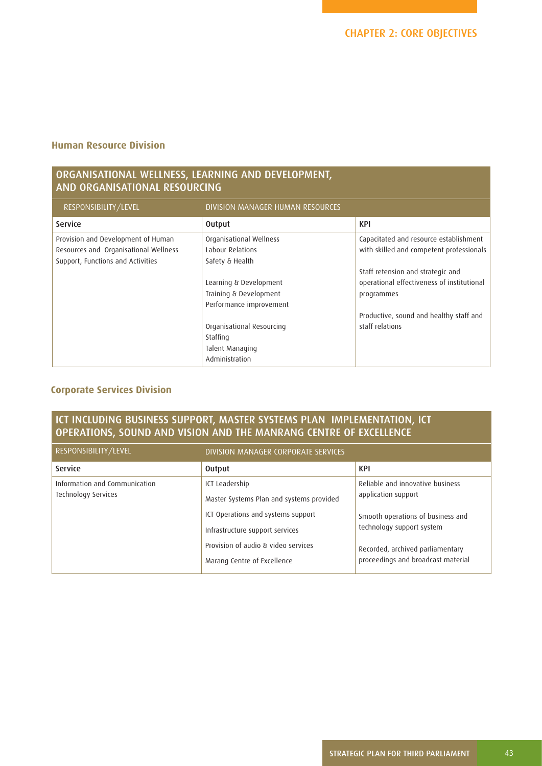### **Human Resource Division**

# ORGANISATIONAL WELLNESS, LEARNING AND DEVELOPMENT, AND ORGANISATIONAL RESOURCING

| RESPONSIBILITY/LEVEL                  | DIVISION MANAGER HUMAN RESOURCES |                                            |
|---------------------------------------|----------------------------------|--------------------------------------------|
| <b>Service</b>                        | Output                           | <b>KPI</b>                                 |
| Provision and Development of Human    | Organisational Wellness          | Capacitated and resource establishment     |
| Resources and Organisational Wellness | Labour Relations                 | with skilled and competent professionals   |
| Support, Functions and Activities     | Safety & Health                  |                                            |
|                                       |                                  | Staff retension and strategic and          |
|                                       | Learning & Development           | operational effectiveness of institutional |
|                                       | Training & Development           | programmes                                 |
|                                       | Performance improvement          |                                            |
|                                       |                                  | Productive, sound and healthy staff and    |
|                                       | Organisational Resourcing        | staff relations                            |
|                                       | Staffing                         |                                            |
|                                       | Talent Managing                  |                                            |
|                                       | Administration                   |                                            |

# **Corporate Services Division**

# ICT INCLUDING BUSINESS SUPPORT, MASTER SYSTEMS PLAN IMPLEMENTATION, ICT OPERATIONS, SOUND AND VISION AND THE MANRANG CENTRE OF EXCELLENCE

| RESPONSIBILITY/LEVEL          | DIVISION MANAGER CORPORATE SERVICES      |                                    |  |
|-------------------------------|------------------------------------------|------------------------------------|--|
| <b>Service</b>                | Output                                   | <b>KPI</b>                         |  |
| Information and Communication | ICT Leadership                           | Reliable and innovative business   |  |
| Technology Services           | Master Systems Plan and systems provided | application support                |  |
|                               | ICT Operations and systems support       | Smooth operations of business and  |  |
|                               | Infrastructure support services          | technology support system          |  |
|                               | Provision of audio & video services      | Recorded, archived parliamentary   |  |
|                               | Marang Centre of Excellence              | proceedings and broadcast material |  |
|                               |                                          |                                    |  |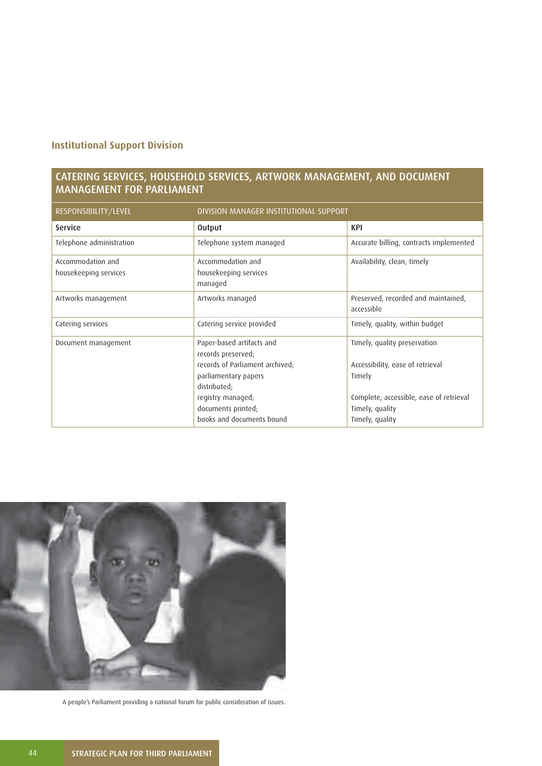# **Institutional Support Division**

### CATERING SERVICES, HOUSEHOLD SERVICES, ARTWORK MANAGEMENT, AND DOCUMENT MANAGEMENT FOR PARLIAMENT

| RESPONSIBILITY/LEVEL                       | DIVISION MANAGER INSTITUTIONAL SUPPORT                                                                                                                                                             |                                                                                                                                                             |  |
|--------------------------------------------|----------------------------------------------------------------------------------------------------------------------------------------------------------------------------------------------------|-------------------------------------------------------------------------------------------------------------------------------------------------------------|--|
| <b>Service</b>                             | <b>Output</b>                                                                                                                                                                                      | <b>KPI</b>                                                                                                                                                  |  |
| Telephone administration                   | Telephone system managed                                                                                                                                                                           | Accurate billing, contracts implemented                                                                                                                     |  |
| Accommodation and<br>housekeeping services | Accommodation and<br>housekeeping services<br>managed                                                                                                                                              | Availability, clean, timely                                                                                                                                 |  |
| Artworks management                        | Artworks managed                                                                                                                                                                                   | Preserved, recorded and maintained,<br>accessible                                                                                                           |  |
| Catering services                          | Catering service provided                                                                                                                                                                          | Timely, quality, within budget                                                                                                                              |  |
| Document management                        | Paper-based artifacts and<br>records preserved;<br>records of Parliament archived;<br>parliamentary papers<br>distributed;<br>registry managed;<br>documents printed;<br>books and documents bound | Timely, quality preservation<br>Accessibility, ease of retrieval<br>Timely<br>Complete, accessible, ease of retrieval<br>Timely, quality<br>Timely, quality |  |



A people's Parliament providing a national forum for public consideration of issues.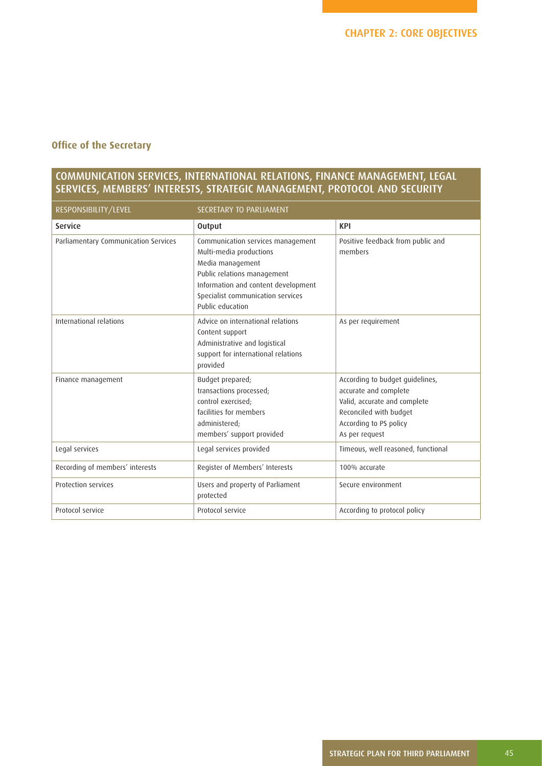# **Office of the Secretary**

# COMMUNICATION SERVICES, INTERNATIONAL RELATIONS, FINANCE MANAGEMENT, LEGAL SERVICES, MEMBERS' INTERESTS, STRATEGIC MANAGEMENT, PROTOCOL AND SECURITY

| RESPONSIBILITY/LEVEL                 | SECRETARY TO PARLIAMENT                                                                                                                                                                                         |                                                                                                                                                                |
|--------------------------------------|-----------------------------------------------------------------------------------------------------------------------------------------------------------------------------------------------------------------|----------------------------------------------------------------------------------------------------------------------------------------------------------------|
| Service                              | <b>Output</b>                                                                                                                                                                                                   | <b>KPI</b>                                                                                                                                                     |
| Parliamentary Communication Services | Communication services management<br>Multi-media productions<br>Media management<br>Public relations management<br>Information and content development<br>Specialist communication services<br>Public education | Positive feedback from public and<br>members                                                                                                                   |
| International relations              | Advice on international relations<br>Content support<br>Administrative and logistical<br>support for international relations<br>provided                                                                        | As per requirement                                                                                                                                             |
| Finance management                   | Budget prepared;<br>transactions processed;<br>control exercised;<br>facilities for members<br>administered;<br>members' support provided                                                                       | According to budget guidelines,<br>accurate and complete<br>Valid, accurate and complete<br>Reconciled with budget<br>According to PS policy<br>As per request |
| Legal services                       | Legal services provided                                                                                                                                                                                         | Timeous, well reasoned, functional                                                                                                                             |
| Recording of members' interests      | Register of Members' Interests                                                                                                                                                                                  | 100% accurate                                                                                                                                                  |
| Protection services                  | Users and property of Parliament<br>protected                                                                                                                                                                   | Secure environment                                                                                                                                             |
| Protocol service                     | Protocol service                                                                                                                                                                                                | According to protocol policy                                                                                                                                   |